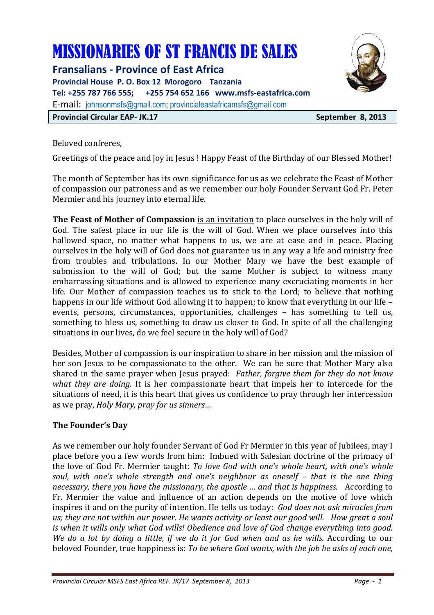# MISSIONARIES OF ST FRANCIS DE SALES

**Fransalians - Province of East Africa Provincial House P. O. Box 12 Morogoro Tanzania Tel: +255 787 766 555; +255 754 652 166 www.msfs-eastafrica.com**  E-mail: johnsonmsfs@gmail.com; provincialeastafricamsfs@gmail.com **Provincial Circular EAP- JK.17** September 8, 2013



Beloved confreres,

Greetings of the peace and joy in Jesus ! Happy Feast of the Birthday of our Blessed Mother!

The month of September has its own significance for us as we celebrate the Feast of Mother of compassion our patroness and as we remember our holy Founder Servant God Fr. Peter Mermier and his journey into eternal life.

**The Feast of Mother of Compassion** is an invitation to place ourselves in the holy will of God. The safest place in our life is the will of God. When we place ourselves into this hallowed space, no matter what happens to us, we are at ease and in peace. Placing ourselves in the holy will of God does not guarantee us in any way a life and ministry free from troubles and tribulations. In our Mother Mary we have the best example of submission to the will of God; but the same Mother is subject to witness many embarrassing situations and is allowed to experience many excruciating moments in her life. Our Mother of compassion teaches us to stick to the Lord; to believe that nothing happens in our life without God allowing it to happen; to know that everything in our life – events, persons, circumstances, opportunities, challenges – has something to tell us, something to bless us, something to draw us closer to God. In spite of all the challenging situations in our lives, do we feel secure in the holy will of God?

Besides, Mother of compassion is our inspiration to share in her mission and the mission of her son Jesus to be compassionate to the other. We can be sure that Mother Mary also shared in the same prayer when Jesus prayed: *Father, forgive them for they do not know what they are doing.* It is her compassionate heart that impels her to intercede for the situations of need, it is this heart that gives us confidence to pray through her intercession as we pray, *Holy Mary, pray for us sinners…* 

# **The Founder's Day**

As we remember our holy founder Servant of God Fr Mermier in this year of Jubilees, may I place before you a few words from him: Imbued with Salesian doctrine of the primacy of the love of God Fr. Mermier taught: *To love God with one's whole heart, with one's whole soul, with one's whole strength and one's neighbour as oneself – that is the one thing necessary, there you have the missionary, the apostle … and that is happiness.* According to Fr. Mermier the value and influence of an action depends on the motive of love which inspires it and on the purity of intention. He tells us today: *God does not ask miracles from us; they are not within our power. He wants activity or least our good will. How great a soul is when it wills only what God wills! Obedience and love of God change everything into good. We do a lot by doing a little, if we do it for God when and as he wills.* According to our beloved Founder, true happiness is: *To be where God wants, with the job he asks of each one,*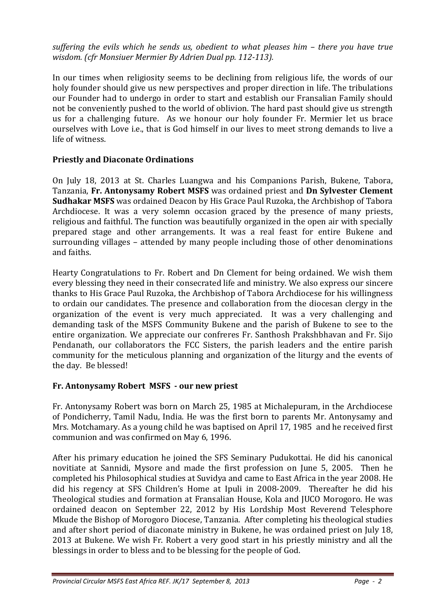*suffering the evils which he sends us, obedient to what pleases him – there you have true wisdom. (cfr Monsiuer Mermier By Adrien Dual pp. 112-113).*

In our times when religiosity seems to be declining from religious life, the words of our holy founder should give us new perspectives and proper direction in life. The tribulations our Founder had to undergo in order to start and establish our Fransalian Family should not be conveniently pushed to the world of oblivion. The hard past should give us strength us for a challenging future. As we honour our holy founder Fr. Mermier let us brace ourselves with Love i.e., that is God himself in our lives to meet strong demands to live a life of witness.

# **Priestly and Diaconate Ordinations**

On July 18, 2013 at St. Charles Luangwa and his Companions Parish, Bukene, Tabora, Tanzania, **Fr. Antonysamy Robert MSFS** was ordained priest and **Dn Sylvester Clement Sudhakar MSFS** was ordained Deacon by His Grace Paul Ruzoka, the Archbishop of Tabora Archdiocese. It was a very solemn occasion graced by the presence of many priests, religious and faithful. The function was beautifully organized in the open air with specially prepared stage and other arrangements. It was a real feast for entire Bukene and surrounding villages – attended by many people including those of other denominations and faiths.

Hearty Congratulations to Fr. Robert and Dn Clement for being ordained. We wish them every blessing they need in their consecrated life and ministry. We also express our sincere thanks to His Grace Paul Ruzoka, the Archbishop of Tabora Archdiocese for his willingness to ordain our candidates. The presence and collaboration from the diocesan clergy in the organization of the event is very much appreciated. It was a very challenging and demanding task of the MSFS Community Bukene and the parish of Bukene to see to the entire organization. We appreciate our confreres Fr. Santhosh Prakshbhavan and Fr. Sijo Pendanath, our collaborators the FCC Sisters, the parish leaders and the entire parish community for the meticulous planning and organization of the liturgy and the events of the day. Be blessed!

# **Fr. Antonysamy Robert MSFS - our new priest**

Fr. Antonysamy Robert was born on March 25, 1985 at Michalepuram, in the Archdiocese of Pondicherry, Tamil Nadu, India. He was the first born to parents Mr. Antonysamy and Mrs. Motchamary. As a young child he was baptised on April 17, 1985 and he received first communion and was confirmed on May 6, 1996.

After his primary education he joined the SFS Seminary Pudukottai. He did his canonical novitiate at Sannidi, Mysore and made the first profession on June 5, 2005. Then he completed his Philosophical studies at Suvidya and came to East Africa in the year 2008. He did his regency at SFS Children's Home at Ipuli in 2008-2009. Thereafter he did his Theological studies and formation at Fransalian House, Kola and JUCO Morogoro. He was ordained deacon on September 22, 2012 by His Lordship Most Reverend Telesphore Mkude the Bishop of Morogoro Diocese, Tanzania. After completing his theological studies and after short period of diaconate ministry in Bukene, he was ordained priest on July 18, 2013 at Bukene. We wish Fr. Robert a very good start in his priestly ministry and all the blessings in order to bless and to be blessing for the people of God.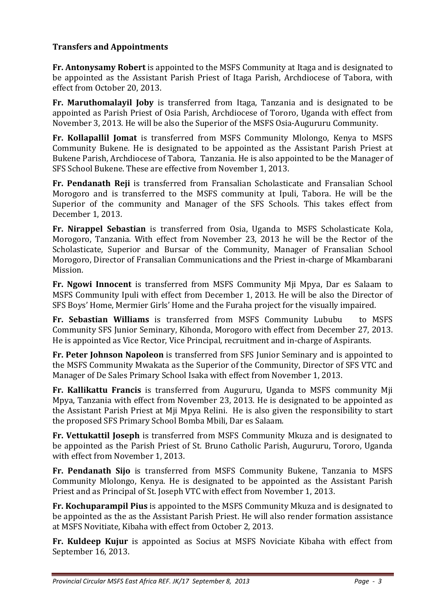# **Transfers and Appointments**

**Fr. Antonysamy Robert** is appointed to the MSFS Community at Itaga and is designated to be appointed as the Assistant Parish Priest of Itaga Parish, Archdiocese of Tabora, with effect from October 20, 2013.

**Fr. Maruthomalayil Joby** is transferred from Itaga, Tanzania and is designated to be appointed as Parish Priest of Osia Parish, Archdiocese of Tororo, Uganda with effect from November 3, 2013. He will be also the Superior of the MSFS Osia-Augururu Community.

**Fr. Kollapallil Jomat** is transferred from MSFS Community Mlolongo, Kenya to MSFS Community Bukene. He is designated to be appointed as the Assistant Parish Priest at Bukene Parish, Archdiocese of Tabora, Tanzania. He is also appointed to be the Manager of SFS School Bukene. These are effective from November 1, 2013.

**Fr. Pendanath Reji** is transferred from Fransalian Scholasticate and Fransalian School Morogoro and is transferred to the MSFS community at Ipuli, Tabora. He will be the Superior of the community and Manager of the SFS Schools. This takes effect from December 1, 2013.

**Fr. Nirappel Sebastian** is transferred from Osia, Uganda to MSFS Scholasticate Kola, Morogoro, Tanzania. With effect from November 23, 2013 he will be the Rector of the Scholasticate, Superior and Bursar of the Community, Manager of Fransalian School Morogoro, Director of Fransalian Communications and the Priest in-charge of Mkambarani Mission.

**Fr. Ngowi Innocent** is transferred from MSFS Community Mji Mpya, Dar es Salaam to MSFS Community Ipuli with effect from December 1, 2013. He will be also the Director of SFS Boys' Home, Mermier Girls' Home and the Furaha project for the visually impaired.

**Fr. Sebastian Williams** is transferred from MSFS Community Lububu to MSFS Community SFS Junior Seminary, Kihonda, Morogoro with effect from December 27, 2013. He is appointed as Vice Rector, Vice Principal, recruitment and in-charge of Aspirants.

**Fr. Peter Johnson Napoleon** is transferred from SFS Junior Seminary and is appointed to the MSFS Community Mwakata as the Superior of the Community, Director of SFS VTC and Manager of De Sales Primary School Isaka with effect from November 1, 2013.

**Fr. Kallikattu Francis** is transferred from Augururu, Uganda to MSFS community Mji Mpya, Tanzania with effect from November 23, 2013. He is designated to be appointed as the Assistant Parish Priest at Mji Mpya Relini. He is also given the responsibility to start the proposed SFS Primary School Bomba Mbili, Dar es Salaam.

**Fr. Vettukattil Joseph** is transferred from MSFS Community Mkuza and is designated to be appointed as the Parish Priest of St. Bruno Catholic Parish, Augururu, Tororo, Uganda with effect from November 1, 2013.

**Fr. Pendanath Sijo** is transferred from MSFS Community Bukene, Tanzania to MSFS Community Mlolongo, Kenya. He is designated to be appointed as the Assistant Parish Priest and as Principal of St. Joseph VTC with effect from November 1, 2013.

**Fr. Kochuparampil Pius** is appointed to the MSFS Community Mkuza and is designated to be appointed as the as the Assistant Parish Priest. He will also render formation assistance at MSFS Novitiate, Kibaha with effect from October 2, 2013.

**Fr. Kuldeep Kujur** is appointed as Socius at MSFS Noviciate Kibaha with effect from September 16, 2013.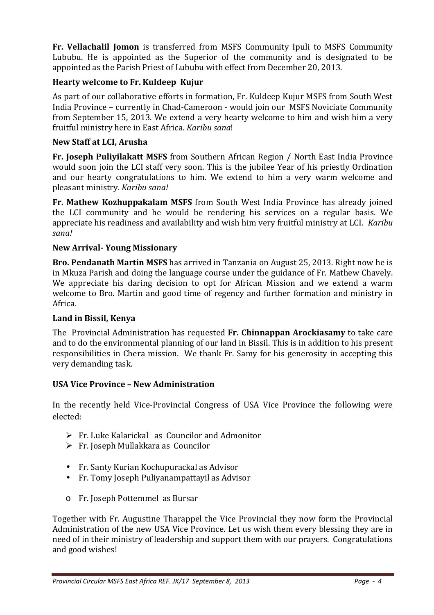**Fr. Vellachalil Jomon** is transferred from MSFS Community Ipuli to MSFS Community Lububu. He is appointed as the Superior of the community and is designated to be appointed as the Parish Priest of Lububu with effect from December 20, 2013.

# **Hearty welcome to Fr. Kuldeep Kujur**

As part of our collaborative efforts in formation, Fr. Kuldeep Kujur MSFS from South West India Province – currently in Chad-Cameroon - would join our MSFS Noviciate Community from September 15, 2013. We extend a very hearty welcome to him and wish him a very fruitful ministry here in East Africa. *Karibu sana*!

## **New Staff at LCI, Arusha**

**Fr. Joseph Puliyilakatt MSFS** from Southern African Region / North East India Province would soon join the LCI staff very soon. This is the jubilee Year of his priestly Ordination and our hearty congratulations to him. We extend to him a very warm welcome and pleasant ministry. *Karibu sana!*

**Fr. Mathew Kozhuppakalam MSFS** from South West India Province has already joined the LCI community and he would be rendering his services on a regular basis. We appreciate his readiness and availability and wish him very fruitful ministry at LCI. *Karibu sana!*

## **New Arrival- Young Missionary**

**Bro. Pendanath Martin MSFS** has arrived in Tanzania on August 25, 2013. Right now he is in Mkuza Parish and doing the language course under the guidance of Fr. Mathew Chavely. We appreciate his daring decision to opt for African Mission and we extend a warm welcome to Bro. Martin and good time of regency and further formation and ministry in Africa.

## **Land in Bissil, Kenya**

The Provincial Administration has requested **Fr. Chinnappan Arockiasamy** to take care and to do the environmental planning of our land in Bissil. This is in addition to his present responsibilities in Chera mission. We thank Fr. Samy for his generosity in accepting this very demanding task.

## **USA Vice Province – New Administration**

In the recently held Vice-Provincial Congress of USA Vice Province the following were elected:

- Fr. Luke Kalarickal as Councilor and Admonitor
- $\triangleright$  Fr. Joseph Mullakkara as Councilor
- Fr. Santy Kurian Kochupurackal as Advisor
- Fr. Tomy Joseph Puliyanampattayil as Advisor
- o Fr. Joseph Pottemmel as Bursar

Together with Fr. Augustine Tharappel the Vice Provincial they now form the Provincial Administration of the new USA Vice Province. Let us wish them every blessing they are in need of in their ministry of leadership and support them with our prayers. Congratulations and good wishes!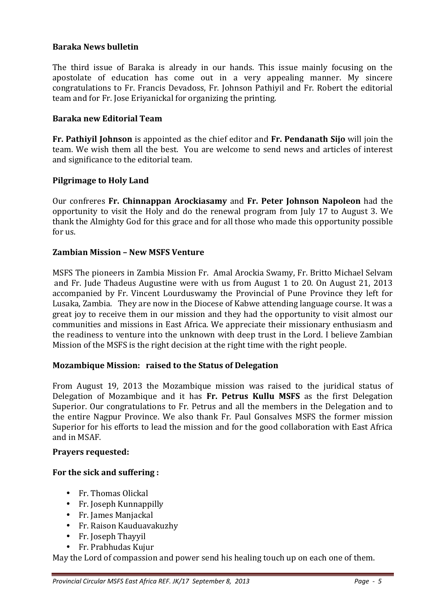## **Baraka News bulletin**

The third issue of Baraka is already in our hands. This issue mainly focusing on the apostolate of education has come out in a very appealing manner. My sincere congratulations to Fr. Francis Devadoss, Fr. Johnson Pathiyil and Fr. Robert the editorial team and for Fr. Jose Eriyanickal for organizing the printing.

#### **Baraka new Editorial Team**

**Fr. Pathiyil Johnson** is appointed as the chief editor and **Fr. Pendanath Sijo** will join the team. We wish them all the best. You are welcome to send news and articles of interest and significance to the editorial team.

#### **Pilgrimage to Holy Land**

Our confreres **Fr. Chinnappan Arockiasamy** and **Fr. Peter Johnson Napoleon** had the opportunity to visit the Holy and do the renewal program from July 17 to August 3. We thank the Almighty God for this grace and for all those who made this opportunity possible for us.

#### **Zambian Mission – New MSFS Venture**

MSFS The pioneers in Zambia Mission Fr. Amal Arockia Swamy, Fr. Britto Michael Selvam and Fr. Jude Thadeus Augustine were with us from August 1 to 20. On August 21, 2013 accompanied by Fr. Vincent Lourduswamy the Provincial of Pune Province they left for Lusaka, Zambia. They are now in the Diocese of Kabwe attending language course. It was a great joy to receive them in our mission and they had the opportunity to visit almost our communities and missions in East Africa. We appreciate their missionary enthusiasm and the readiness to venture into the unknown with deep trust in the Lord. I believe Zambian Mission of the MSFS is the right decision at the right time with the right people.

#### **Mozambique Mission: raised to the Status of Delegation**

From August 19, 2013 the Mozambique mission was raised to the juridical status of Delegation of Mozambique and it has **Fr. Petrus Kullu MSFS** as the first Delegation Superior. Our congratulations to Fr. Petrus and all the members in the Delegation and to the entire Nagpur Province. We also thank Fr. Paul Gonsalves MSFS the former mission Superior for his efforts to lead the mission and for the good collaboration with East Africa and in MSAF.

#### **Prayers requested:**

#### **For the sick and suffering :**

- Fr. Thomas Olickal
- Fr. Joseph Kunnappilly
- Fr. James Manjackal
- Fr. Raison Kauduavakuzhy
- Fr. Joseph Thayyil
- Fr. Prabhudas Kujur

May the Lord of compassion and power send his healing touch up on each one of them.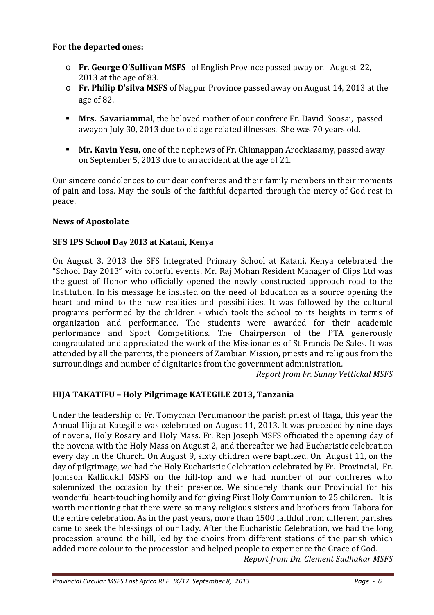# **For the departed ones:**

- o **Fr. George O'Sullivan MSFS** of English Province passed away on August 22, 2013 at the age of 83.
- o **Fr. Philip D'silva MSFS** of Nagpur Province passed away on August 14, 2013 at the age of 82.
- - **Mrs. Savariammal**, the beloved mother of our confrere Fr. David Soosai, passed awayon July 30, 2013 due to old age related illnesses. She was 70 years old.
- - **Mr. Kavin Yesu,** one of the nephews of Fr. Chinnappan Arockiasamy, passed away on September 5, 2013 due to an accident at the age of 21.

Our sincere condolences to our dear confreres and their family members in their moments of pain and loss. May the souls of the faithful departed through the mercy of God rest in peace.

# **News of Apostolate**

# **SFS IPS School Day 2013 at Katani, Kenya**

On August 3, 2013 the SFS Integrated Primary School at Katani, Kenya celebrated the "School Day 2013" with colorful events. Mr. Raj Mohan Resident Manager of Clips Ltd was the guest of Honor who officially opened the newly constructed approach road to the Institution. In his message he insisted on the need of Education as a source opening the heart and mind to the new realities and possibilities. It was followed by the cultural programs performed by the children - which took the school to its heights in terms of organization and performance. The students were awarded for their academic performance and Sport Competitions. The Chairperson of the PTA generously congratulated and appreciated the work of the Missionaries of St Francis De Sales. It was attended by all the parents, the pioneers of Zambian Mission, priests and religious from the surroundings and number of dignitaries from the government administration.

*Report from Fr. Sunny Vettickal MSFS* 

# **HIJA TAKATIFU – Holy Pilgrimage KATEGILE 2013, Tanzania**

Under the leadership of Fr. Tomychan Perumanoor the parish priest of Itaga, this year the Annual Hija at Kategille was celebrated on August 11, 2013. It was preceded by nine days of novena, Holy Rosary and Holy Mass. Fr. Reji Joseph MSFS officiated the opening day of the novena with the Holy Mass on August 2, and thereafter we had Eucharistic celebration every day in the Church. On August 9, sixty children were baptized. On August 11, on the day of pilgrimage, we had the Holy Eucharistic Celebration celebrated by Fr. Provincial, Fr. Johnson Kallidukil MSFS on the hill-top and we had number of our confreres who solemnized the occasion by their presence. We sincerely thank our Provincial for his wonderful heart-touching homily and for giving First Holy Communion to 25 children. It is worth mentioning that there were so many religious sisters and brothers from Tabora for the entire celebration. As in the past years, more than 1500 faithful from different parishes came to seek the blessings of our Lady. After the Eucharistic Celebration, we had the long procession around the hill, led by the choirs from different stations of the parish which added more colour to the procession and helped people to experience the Grace of God.

*Report from Dn. Clement Sudhakar MSFS*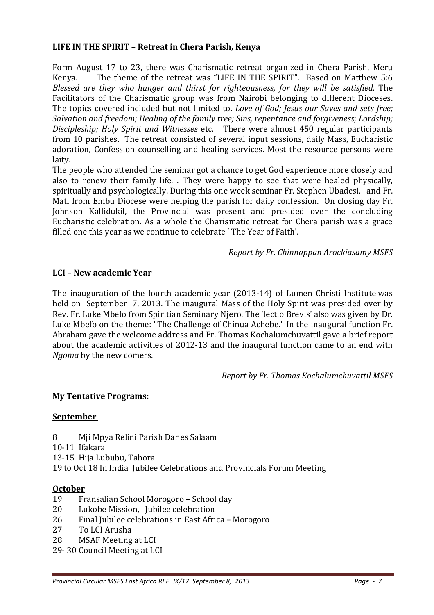# **LIFE IN THE SPIRIT – Retreat in Chera Parish, Kenya**

Form August 17 to 23, there was Charismatic retreat organized in Chera Parish, Meru Kenya. The theme of the retreat was "LIFE IN THE SPIRIT". Based on Matthew 5:6 *Blessed are they who hunger and thirst for righteousness, for they will be satisfied.* The Facilitators of the Charismatic group was from Nairobi belonging to different Dioceses. The topics covered included but not limited to. *Love of God; Jesus our Saves and sets free; Salvation and freedom; Healing of the family tree; Sins, repentance and forgiveness; Lordship; Discipleship; Holy Spirit and Witnesses* etc. There were almost 450 regular participants from 10 parishes. The retreat consisted of several input sessions, daily Mass, Eucharistic adoration, Confession counselling and healing services. Most the resource persons were laity.

The people who attended the seminar got a chance to get God experience more closely and also to renew their family life. . They were happy to see that were healed physically, spiritually and psychologically. During this one week seminar Fr. Stephen Ubadesi, and Fr. Mati from Embu Diocese were helping the parish for daily confession. On closing day Fr. Johnson Kallidukil, the Provincial was present and presided over the concluding Eucharistic celebration. As a whole the Charismatic retreat for Chera parish was a grace filled one this year as we continue to celebrate ' The Year of Faith'.

*Report by Fr. Chinnappan Arockiasamy MSFS* 

# **LCI – New academic Year**

The inauguration of the fourth academic year (2013-14) of Lumen Christi Institute was held on September 7, 2013. The inaugural Mass of the Holy Spirit was presided over by Rev. Fr. Luke Mbefo from Spiritian Seminary Njero. The 'lectio Brevis' also was given by Dr. Luke Mbefo on the theme: "The Challenge of Chinua Achebe." In the inaugural function Fr. Abraham gave the welcome address and Fr. Thomas Kochalumchuvattil gave a brief report about the academic activities of 2012-13 and the inaugural function came to an end with *Ngoma* by the new comers.

*Report by Fr. Thomas Kochalumchuvattil MSFS* 

## **My Tentative Programs:**

#### **September**

- 8 Mji Mpya Relini Parish Dar es Salaam
- 10-11 Ifakara
- 13-15 Hija Lububu, Tabora

19 to Oct 18 In India Jubilee Celebrations and Provincials Forum Meeting

#### **October**

- 19 Fransalian School Morogoro School day
- 20 Lukobe Mission, Jubilee celebration
- 26 Final Jubilee celebrations in East Africa Morogoro
- 27 To LCI Arusha
- 28 MSAF Meeting at LCI
- 29- 30 Council Meeting at LCI